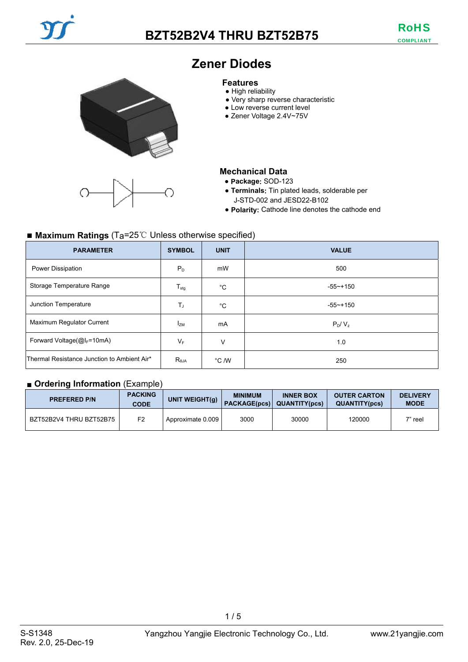

# **Zener Diodes**

#### **Features**

- High reliability
- Very sharp reverse characteristic
- Low reverse current level
- Zener Voltage 2.4V~75V

### **Mechanical Data**

- **Package:** SOD-123
- **Terminals:** Tin plated leads, solderable per J-STD-002 and JESD22-B102
- **Polarity:** Cathode line denotes the cathode end

#### ■ **Maximum Ratings** (Ta=25<sup>°</sup>C Unless otherwise specified)

| <b>PARAMETER</b>                            | <b>SYMBOL</b>    | <b>UNIT</b>  | <b>VALUE</b> |
|---------------------------------------------|------------------|--------------|--------------|
| Power Dissipation                           | $P_D$            | mW           | 500          |
| Storage Temperature Range                   | $T_{\text{stg}}$ | $^{\circ}$ C | $-55$ ~+150  |
| Junction Temperature                        | T,               | °C           | $-55 - +150$ |
| Maximum Regulator Current                   | $I_{ZM}$         | mA           | $P_D/V_z$    |
| Forward Voltage(@IF=10mA)                   | $V_F$            | V            | 1.0          |
| Thermal Resistance Junction to Ambient Air* | $R_{\theta$ JA   | °C /W        | 250          |

#### ■ **Ordering Information** (Example)

| <b>PREFERED P/N</b>     | <b>PACKING</b><br><b>CODE</b> | UNIT WEIGHT $(g)$ | <b>MINIMUM</b> | <b>INNER BOX</b><br>PACKAGE(pcs) QUANTITY(pcs) | <b>OUTER CARTON</b><br><b>QUANTITY(pcs)</b> | <b>DELIVERY</b><br><b>MODE</b> |
|-------------------------|-------------------------------|-------------------|----------------|------------------------------------------------|---------------------------------------------|--------------------------------|
| BZT52B2V4 THRU BZT52B75 | F <sub>2</sub>                | Approximate 0.009 | 3000           | 30000                                          | 120000                                      | 7" reel                        |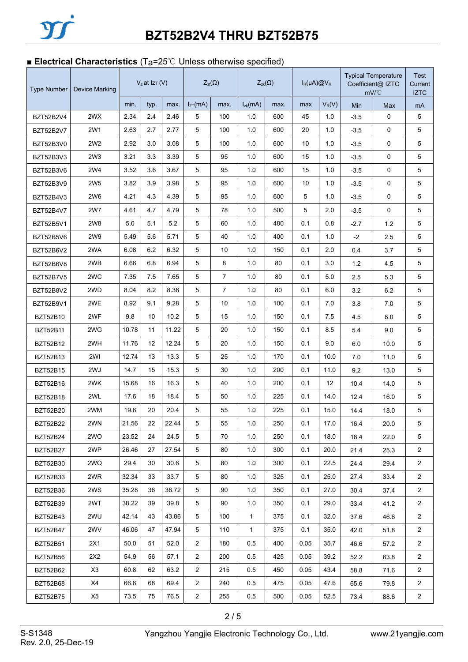# ■ **Electrical Characteristics** (T<sub>a</sub>=25℃ Unless otherwise specified)

| <b>Type Number</b> | <b>Device Marking</b> |       | $Vz$ at Iz <sub>T</sub> (V) |       | $Z_{zt}(\Omega)$ |                | $Z_{zk}(\Omega)$ |      | $I_R(\mu A) @V_R$ |          | <b>Typical Temperature</b><br>Coefficient@ IZTC<br>mV/°C |             | <b>Test</b><br>Current<br><b>IZTC</b> |
|--------------------|-----------------------|-------|-----------------------------|-------|------------------|----------------|------------------|------|-------------------|----------|----------------------------------------------------------|-------------|---------------------------------------|
|                    |                       | min.  | typ.                        | max.  | $I_{ZT}(mA)$     | max.           | $I_{zk}(mA)$     | max. | max               | $V_R(V)$ | Min                                                      | <b>Max</b>  | mA                                    |
| <b>BZT52B2V4</b>   | 2WX                   | 2.34  | 2.4                         | 2.46  | 5                | 100            | 1.0              | 600  | 45                | 1.0      | $-3.5$                                                   | 0           | 5                                     |
| <b>BZT52B2V7</b>   | 2W1                   | 2.63  | 2.7                         | 2.77  | 5                | 100            | 1.0              | 600  | 20                | 1.0      | $-3.5$                                                   | $\mathbf 0$ | 5                                     |
| <b>BZT52B3V0</b>   | 2W <sub>2</sub>       | 2.92  | 3.0                         | 3.08  | 5                | 100            | 1.0              | 600  | 10                | 1.0      | $-3.5$                                                   | 0           | 5                                     |
| BZT52B3V3          | 2W <sub>3</sub>       | 3.21  | 3.3                         | 3.39  | 5                | 95             | 1.0              | 600  | 15                | 1.0      | $-3.5$                                                   | 0           | 5                                     |
| BZT52B3V6          | <b>2W4</b>            | 3.52  | 3.6                         | 3.67  | 5                | 95             | 1.0              | 600  | 15                | 1.0      | $-3.5$                                                   | 0           | 5                                     |
| BZT52B3V9          | <b>2W5</b>            | 3.82  | 3.9                         | 3.98  | 5                | 95             | 1.0              | 600  | 10                | 1.0      | $-3.5$                                                   | 0           | 5                                     |
| BZT52B4V3          | 2W <sub>6</sub>       | 4.21  | 4.3                         | 4.39  | 5                | 95             | 1.0              | 600  | 5                 | 1.0      | $-3.5$                                                   | 0           | 5                                     |
| BZT52B4V7          | 2W7                   | 4.61  | 4.7                         | 4.79  | 5                | 78             | 1.0              | 500  | 5                 | 2.0      | $-3.5$                                                   | 0           | 5                                     |
| <b>BZT52B5V1</b>   | <b>2W8</b>            | 5.0   | 5.1                         | 5.2   | 5                | 60             | 1.0              | 480  | 0.1               | 0.8      | $-2.7$                                                   | 1.2         | 5                                     |
| BZT52B5V6          | <b>2W9</b>            | 5.49  | 5.6                         | 5.71  | 5                | 40             | 1.0              | 400  | 0.1               | 1.0      | $-2$                                                     | 2.5         | 5                                     |
| BZT52B6V2          | 2WA                   | 6.08  | 6.2                         | 6.32  | 5                | 10             | 1.0              | 150  | 0.1               | 2.0      | 0.4                                                      | 3.7         | 5                                     |
| BZT52B6V8          | 2WB                   | 6.66  | 6.8                         | 6.94  | 5                | 8              | 1.0              | 80   | 0.1               | 3.0      | 1.2                                                      | 4.5         | 5                                     |
| <b>BZT52B7V5</b>   | 2WC                   | 7.35  | 7.5                         | 7.65  | 5                | $\overline{7}$ | 1.0              | 80   | 0.1               | 5.0      | 2.5                                                      | 5.3         | 5                                     |
| <b>BZT52B8V2</b>   | 2WD                   | 8.04  | 8.2                         | 8.36  | 5                | $\overline{7}$ | 1.0              | 80   | 0.1               | 6.0      | 3.2                                                      | 6.2         | 5                                     |
| BZT52B9V1          | 2WE                   | 8.92  | 9.1                         | 9.28  | 5                | 10             | 1.0              | 100  | 0.1               | 7.0      | 3.8                                                      | 7.0         | 5                                     |
| <b>BZT52B10</b>    | 2WF                   | 9.8   | 10                          | 10.2  | 5                | 15             | 1.0              | 150  | 0.1               | 7.5      | 4.5                                                      | 8.0         | 5                                     |
| <b>BZT52B11</b>    | 2WG                   | 10.78 | 11                          | 11.22 | 5                | 20             | 1.0              | 150  | 0.1               | 8.5      | 5.4                                                      | 9.0         | 5                                     |
| BZT52B12           | 2WH                   | 11.76 | 12                          | 12.24 | 5                | 20             | 1.0              | 150  | 0.1               | 9.0      | 6.0                                                      | 10.0        | 5                                     |
| <b>BZT52B13</b>    | 2WI                   | 12.74 | 13                          | 13.3  | 5                | 25             | 1.0              | 170  | 0.1               | 10.0     | 7.0                                                      | 11.0        | 5                                     |
| <b>BZT52B15</b>    | 2WJ                   | 14.7  | 15                          | 15.3  | 5                | 30             | 1.0              | 200  | 0.1               | 11.0     | 9.2                                                      | 13.0        | 5                                     |
| <b>BZT52B16</b>    | 2WK                   | 15.68 | 16                          | 16.3  | 5                | 40             | 1.0              | 200  | 0.1               | 12       | 10.4                                                     | 14.0        | 5                                     |
| <b>BZT52B18</b>    | 2WL                   | 17.6  | 18                          | 18.4  | 5                | 50             | 1.0              | 225  | 0.1               | 14.0     | 12.4                                                     | 16.0        | 5                                     |
| <b>BZT52B20</b>    | 2WM                   | 19.6  | 20                          | 20.4  | 5                | 55             | 1.0              | 225  | 0.1               | 15.0     | 14.4                                                     | 18.0        | 5                                     |
| <b>BZT52B22</b>    | 2WN                   | 21.56 | 22                          | 22.44 | 5                | 55             | 1.0              | 250  | 0.1               | 17.0     | 16.4                                                     | 20.0        | 5                                     |
| <b>BZT52B24</b>    | 2WO                   | 23.52 | 24                          | 24.5  | 5                | 70             | 1.0              | 250  | 0.1               | 18.0     | 18.4                                                     | 22.0        | 5                                     |
| <b>BZT52B27</b>    | 2WP                   | 26.46 | 27                          | 27.54 | 5                | 80             | $1.0\,$          | 300  | 0.1               | 20.0     | 21.4                                                     | 25.3        | $\overline{2}$                        |
| <b>BZT52B30</b>    | 2WQ                   | 29.4  | 30                          | 30.6  | 5                | 80             | 1.0              | 300  | 0.1               | 22.5     | 24.4                                                     | 29.4        | $\overline{2}$                        |
| BZT52B33           | 2WR                   | 32.34 | 33                          | 33.7  | 5                | 80             | 1.0              | 325  | 0.1               | 25.0     | 27.4                                                     | 33.4        | 2                                     |
| <b>BZT52B36</b>    | 2WS                   | 35.28 | 36                          | 36.72 | 5                | 90             | 1.0              | 350  | 0.1               | 27.0     | 30.4                                                     | 37.4        | 2                                     |
| <b>BZT52B39</b>    | 2WT                   | 38.22 | 39                          | 39.8  | 5                | 90             | 1.0              | 350  | 0.1               | 29.0     | 33.4                                                     | 41.2        | $\overline{2}$                        |
| BZT52B43           | 2WU                   | 42.14 | 43                          | 43.86 | 5                | 100            | $\mathbf{1}$     | 375  | 0.1               | 32.0     | 37.6                                                     | 46.6        | $\overline{2}$                        |
| <b>BZT52B47</b>    | 2WV                   | 46.06 | 47                          | 47.94 | 5                | 110            | $\mathbf{1}$     | 375  | 0.1               | 35.0     | 42.0                                                     | 51.8        | $\overline{2}$                        |
| <b>BZT52B51</b>    | 2X1                   | 50.0  | 51                          | 52.0  | $\overline{2}$   | 180            | 0.5              | 400  | 0.05              | 35.7     | 46.6                                                     | 57.2        | 2                                     |
| <b>BZT52B56</b>    | 2X2                   | 54.9  | 56                          | 57.1  | $\overline{2}$   | 200            | 0.5              | 425  | 0.05              | 39.2     | 52.2                                                     | 63.8        | $\overline{2}$                        |
| <b>BZT52B62</b>    | X <sub>3</sub>        | 60.8  | 62                          | 63.2  | $\overline{2}$   | 215            | 0.5              | 450  | 0.05              | 43.4     | 58.8                                                     | 71.6        | 2                                     |
| <b>BZT52B68</b>    | X4                    | 66.6  | 68                          | 69.4  | 2                | 240            | 0.5              | 475  | 0.05              | 47.6     | 65.6                                                     | 79.8        | 2                                     |
| <b>BZT52B75</b>    | X5                    | 73.5  | 75                          | 76.5  | $\overline{a}$   | 255            | 0.5              | 500  | 0.05              | 52.5     | 73.4                                                     | 88.6        | $\overline{2}$                        |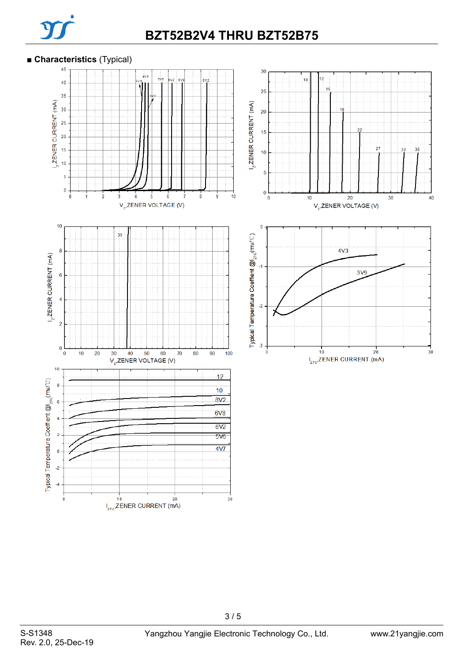

## **■ Characteristics** (Typical)



3 / 5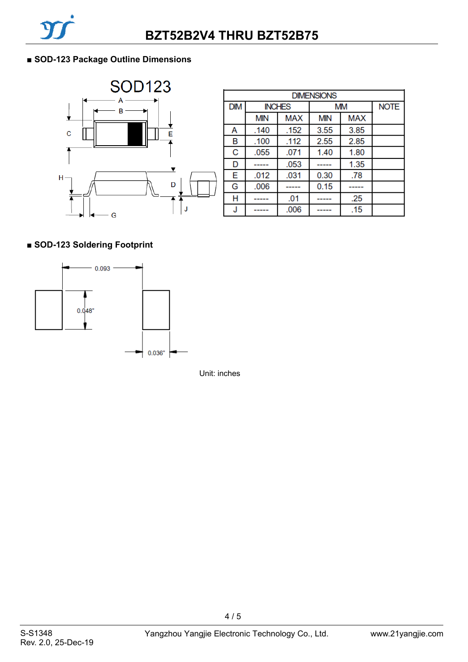

# ■ **SOD-123 Package Outline Dimensions**



|            | <b>DIMENSIONS</b> |               |            |            |  |  |  |  |  |
|------------|-------------------|---------------|------------|------------|--|--|--|--|--|
| <b>DIM</b> |                   | <b>INCHES</b> |            | <b>MM</b>  |  |  |  |  |  |
|            | <b>MIN</b>        | <b>MAX</b>    | <b>MIN</b> | <b>MAX</b> |  |  |  |  |  |
| Α          | .140              | .152          | 3.55       | 3.85       |  |  |  |  |  |
| B          | .100              | .112          | 2.55       | 2.85       |  |  |  |  |  |
| C          | .055              | .071          | 1.40       | 1.80       |  |  |  |  |  |
| D          | .                 | .053          |            | 1.35       |  |  |  |  |  |
| E          | .012              | .031          | 0.30       | .78        |  |  |  |  |  |
| G          | .006              |               | 0.15       |            |  |  |  |  |  |
| Н          | ----              | .01           | -----      | .25        |  |  |  |  |  |
| J          |                   | .006          |            | .15        |  |  |  |  |  |

# ■ SOD-123 Soldering Footprint



Unit: inches

4 / 5